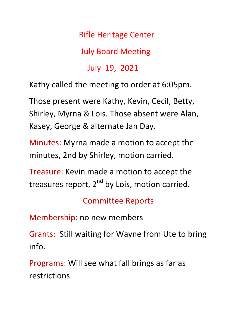## Rifle Heritage Center

July Board Meeting

July 19, 2021

Kathy called the meeting to order at 6:05pm.

Those present were Kathy, Kevin, Cecil, Betty, Shirley, Myrna & Lois. Those absent were Alan, Kasey, George & alternate Jan Day.

Minutes: Myrna made a motion to accept the minutes, 2nd by Shirley, motion carried.

Treasure: Kevin made a motion to accept the treasures report, 2<sup>nd</sup> by Lois, motion carried.

Committee Reports

Membership: no new members

Grants: Still waiting for Wayne from Ute to bring info.

Programs: Will see what fall brings as far as restrictions.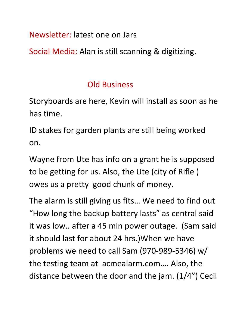Newsletter: latest one on Jars

Social Media: Alan is still scanning & digitizing.

## Old Business

Storyboards are here, Kevin will install as soon as he has time.

ID stakes for garden plants are still being worked on.

Wayne from Ute has info on a grant he is supposed to be getting for us. Also, the Ute (city of Rifle ) owes us a pretty good chunk of money.

The alarm is still giving us fits… We need to find out "How long the backup battery lasts" as central said it was low.. after a 45 min power outage. (Sam said it should last for about 24 hrs.)When we have problems we need to call Sam (970-989-5346) w/ the testing team at acmealarm.com…. Also, the distance between the door and the jam. (1/4") Cecil